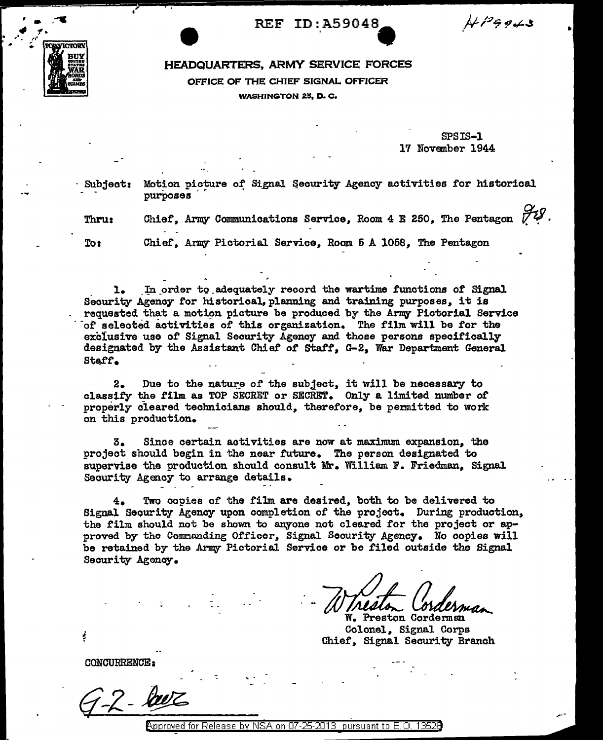REF ID:A59048

 $H^{pq}$ 943



## HEADQUARTERS, ARMY SERVICE FORCES OFFICE OF THE CHIEF SIGNAL OFFICER WASHINGTON 25, D.C.

SPSIS-1 17 November 1944

Subject: Motion picture of Signal Security Agency activities for historical purposes

Thru: Chief, Army Communications Service, Room 4 E 250, The Pentagon  $\bigtriangledown U$ .

To: Chief. Army Pictorial Service. Room 5 A 1058, The Pentagon

1. In order to adequately record the wartime functions of Signal Security Agency *tor* historical, planning and training purposes, it is of selected activities of this organization. The film will be for the exclusive use of Signal Security Agency and those persons specifically designated by the Assistant Chief of Staff, G-2, War Department General Staff.

2. Due to the nature of the subject, it will be necessary to classify the film as TOP SECRET or SECRET. Only a limited number of properly cleared technicians should, therefore, be permitted to work on this production.

3. Since certain activities are now at maximum expansion, the project should begin in the near future. The person designated to supervise the production should consult Mr. William F. Friedman, Signal Security Agency to arrange details.

4. Two copies of the film are desired, both to be delivered to Signal Sequrity Agency upon completion of the project. During production, the film should not be shown to anyone not cleared for the project or approved by the Commanding Officer, Signal Security Agency. No copies will be retained by the Army Pictorial Service or be filed outside the Signal Security Agency.

W. Preston Corderman Colonel, Signal Corps Chief', Signal Security Branch

CONCURRENCE:

m T

 $\rho_{\rm ^{2}D}$  poroved for Release by NSA on 07-25-2013 pursuant to E.O. 13520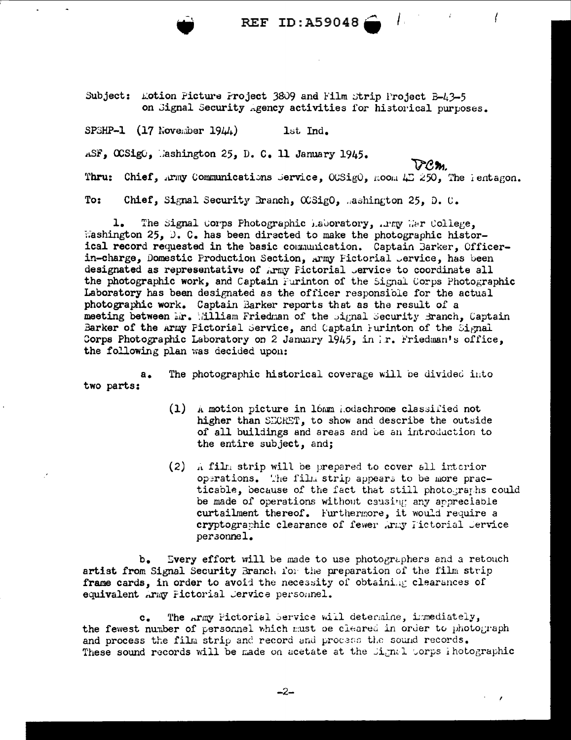REF ID:A59048

Subject: Lotion Picture Project 3809 and Film Strip Project B-43-5 on Signal Security Agency activities for historical purposes.

SPSHP-1  $(17 \text{ Nove.}$  identify  $1944$ . 1st Ind.

ASF, OCSigO, Mashington 25, D. C. 11 January 1945.

 $72m$ 

Thru: Chief, Army Communications Service, OCSigO, Room 45 250, The Pentagon.

To: Chief, Signal Security Branch, CGSigO, mashington 25, D. C.

ı. The Signal Corps Photographic Laboratory, .rmy War College, Mashington 25, D. C. has been directed to make the photographic historical record requested in the basic communication. Captain Barker, Officerin-charge, Domestic Production Section, Army Fictorial Jervice, has been designated as representative of Army Fictorial Jervice to coordinate all the photographic work, and Captain Furinton of the Signal Corps Photographic Laboratory has been designated as the officer responsible for the actual photographic work. Captain Barker reports that as the result of a meeting between Mr. Milliam Friedman of the signal Security Branch, Captain Barker of the Army Pictorial Service, and Captain Furinton of the Signal Corps Photographic Laboratory on 2 January 1945, in Ir. Friedman's office, the following plan was decided upon:

The photographic historical coverage will be divided into  $a_{\bullet}$ two parts:

- (1) A motion picture in 16mm Aodachrome classified not higher than SECRET, to show and describe the outside of all buildings and areas and be an introduction to the entire subject, and:
- (2) A film strip will be prepared to cover all interior operations. The film strip appears to be more practicable, because of the fact that still photographs could be made of operations without causing any appreciable curtailment thereof. Furthermore, it would require a cryptographic clearance of fewer Army Fictorial Jervice personnel.

Every effort will be made to use photographers and a retouch b. artist from Signal Security Branch for the preparation of the film strip frame cards, in order to avoid the necessity of obtaining clearances of equivalent Army Pictorial Jervice personnel.

The Army Pictorial Service will determine, immediately,  $c_{\bullet}$ the fewest number of personnel which must be cleared in order to photograph and process the film strip and record and process the sound records. These sound records will be made on acetate at the Signal Corps ihotographic